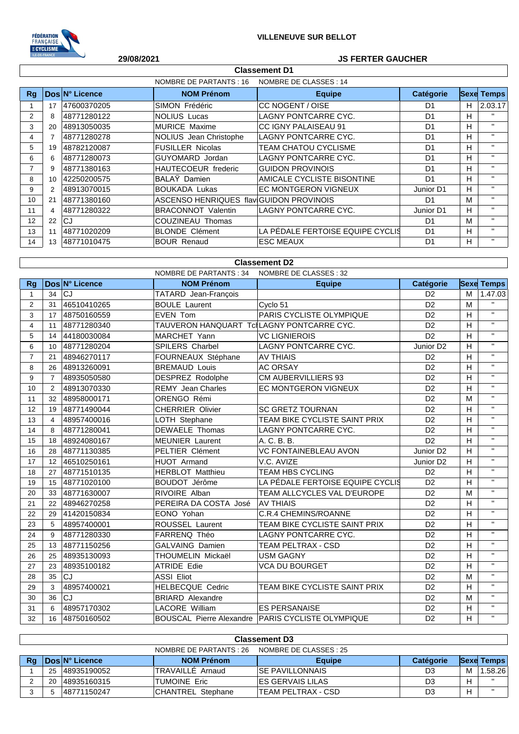

## **29/08/2021 JS FERTER GAUCHER**

| NOMBRE DE CLASSES : 14<br>NOMBRE DE PARTANTS : 16 |    |                |                                         |                                  |                |    |                   |
|---------------------------------------------------|----|----------------|-----------------------------------------|----------------------------------|----------------|----|-------------------|
| Rq                                                |    | Dos N° Licence | <b>NOM Prénom</b>                       | <b>Equipe</b>                    | Catégorie      |    | <b>Sexe Temps</b> |
|                                                   | 17 | 47600370205    | SIMON Frédéric                          | ICC NOGENT / OISE                | D <sub>1</sub> | H. | 2.03.17           |
| $\mathcal{P}$                                     | 8  | 48771280122    | NOLIUS Lucas                            | LAGNY PONTCARRE CYC.             | D <sub>1</sub> | н  | $\mathbf{H}$      |
| 3                                                 | 20 | 48913050035    | MURICE Maxime                           | <b>CC IGNY PALAISEAU 91</b>      | D <sub>1</sub> | H. | $\mathbf{H}$      |
| 4                                                 |    | 48771280278    | NOLIUS Jean Christophe                  | LAGNY PONTCARRE CYC.             | D <sub>1</sub> | H. | $\mathbf{H}$      |
| 5                                                 | 19 | 48782120087    | <b>FUSILLER Nicolas</b>                 | <b>TEAM CHATOU CYCLISME</b>      | D <sub>1</sub> | H  | $\mathbf{H}$      |
| 6                                                 | 6  | 48771280073    | GUYOMARD Jordan                         | LAGNY PONTCARRE CYC.             | D <sub>1</sub> | H. | $\mathbf{H}$      |
| 7                                                 | 9  | 48771380163    | <b>HAUTECOEUR</b> frederic              | <b>GUIDON PROVINOIS</b>          | D <sub>1</sub> | H  | $\mathbf{H}$      |
| 8                                                 | 10 | 42250200575    | BALAŸ Damien                            | AMICALE CYCLISTE BISONTINE       | D <sub>1</sub> | H. | $\mathbf{H}$      |
| 9                                                 |    | 48913070015    | <b>BOUKADA Lukas</b>                    | <b>EC MONTGERON VIGNEUX</b>      | Junior D1      | H. | $\mathbf{H}$      |
| 10                                                | 21 | 48771380160    | ASCENSO HENRIQUES flaviGUIDON PROVINOIS |                                  | D <sub>1</sub> | м  | $\mathbf{H}$      |
| 11                                                | 4  | 48771280322    | <b>BRACONNOT Valentin</b>               | LAGNY PONTCARRE CYC.             | Junior D1      | H. | $\mathbf{H}$      |
| 12                                                | 22 | CJ             | COUZINEAU Thomas                        |                                  | D <sub>1</sub> | M  | $\mathbf{H}$      |
| 13                                                | 11 | 48771020209    | <b>BLONDE Clément</b>                   | LA PÉDALE FERTOISE EQUIPE CYCLIS | D <sub>1</sub> | H. | $\mathbf{H}$      |
| 14                                                | 13 | 48771010475    | <b>BOUR Renaud</b>                      | <b>ESC MEAUX</b>                 | D <sub>1</sub> | H. | $\mathbf{H}$      |

**Classement D1**

## **Classement D2**

|                | <b>NOMBRE DE PARTANTS: 34</b><br>NOMBRE DE CLASSES : 32 |                |                                           |                                                     |                       |   |                   |
|----------------|---------------------------------------------------------|----------------|-------------------------------------------|-----------------------------------------------------|-----------------------|---|-------------------|
| <b>Rg</b>      |                                                         | Dos N° Licence | <b>NOM Prénom</b>                         | <b>Equipe</b>                                       | <b>Catégorie</b>      |   | <b>Sexe Temps</b> |
| $\mathbf{1}$   | 34                                                      | CJ             | TATARD Jean-François                      |                                                     | D <sub>2</sub>        | м | 1.47.03           |
| $\overline{2}$ | 31                                                      | 46510410265    | <b>BOULE Laurent</b>                      | Cyclo 51                                            | D <sub>2</sub>        | M | $\mathbf{H}$      |
| 3              | 17                                                      | 48750160559    | <b>EVEN Tom</b>                           | PARIS CYCLISTE OLYMPIQUE                            | D <sub>2</sub>        | H | $\mathbf{H}$      |
| $\overline{4}$ | 11                                                      | 48771280340    | TAUVERON HANQUART TclLAGNY PONTCARRE CYC. |                                                     | D <sub>2</sub>        | H | $\mathbf{H}$      |
| 5              | 14                                                      | 44180030084    | MARCHET Yann                              | <b>VC LIGNIEROIS</b>                                | D <sub>2</sub>        | H | $\mathbf{H}$      |
| 6              | 10                                                      | 48771280204    | <b>SPILERS Charbel</b>                    | LAGNY PONTCARRE CYC.                                | Junior D <sub>2</sub> | Η | $\mathbf{H}$      |
| $\overline{7}$ | 21                                                      | 48946270117    | FOURNEAUX Stéphane                        | <b>AV THIAIS</b>                                    | D <sub>2</sub>        | H | $\mathbf{H}$      |
| 8              | 26                                                      | 48913260091    | <b>BREMAUD Louis</b>                      | <b>AC ORSAY</b>                                     | D <sub>2</sub>        | H | $\mathbf{H}$      |
| 9              | $\overline{7}$                                          | 48935050580    | <b>DESPREZ Rodolphe</b>                   | <b>CM AUBERVILLIERS 93</b>                          | D <sub>2</sub>        | H | $\mathbf{H}$      |
| 10             | 2                                                       | 48913070330    | <b>REMY Jean Charles</b>                  | EC MONTGERON VIGNEUX                                | D <sub>2</sub>        | H | $\mathbf{H}$      |
| 11             | 32                                                      | 48958000171    | ORENGO Rémi                               |                                                     | D <sub>2</sub>        | M | $\mathbf{H}$      |
| 12             | 19                                                      | 48771490044    | <b>CHERRIER Olivier</b>                   | <b>SC GRETZ TOURNAN</b>                             | D <sub>2</sub>        | н | $\mathbf{H}$      |
| 13             | 4                                                       | 48957400016    | LOTH Stephane                             | TEAM BIKE CYCLISTE SAINT PRIX                       | D <sub>2</sub>        | H | $\mathbf{H}$      |
| 14             | 8                                                       | 48771280041    | <b>DEWAELE Thomas</b>                     | <b>LAGNY PONTCARRE CYC.</b>                         | D <sub>2</sub>        | н | $\mathbf{H}$      |
| 15             | 18                                                      | 48924080167    | <b>MEUNIER Laurent</b>                    | A. C. B. B.                                         | D <sub>2</sub>        | H | $\mathbf{H}$      |
| 16             | 28                                                      | 48771130385    | PELTIER Clément                           | <b>VC FONTAINEBLEAU AVON</b>                        | Junior D <sub>2</sub> | н | $\mathbf{H}$      |
| 17             | 12                                                      | 46510250161    | HUOT Armand                               | V.C. AVIZE                                          | Junior D <sub>2</sub> | н | $\mathbf{H}$      |
| 18             | 27                                                      | 48771510135    | <b>HERBLOT Matthieu</b>                   | <b>TEAM HBS CYCLING</b>                             | D <sub>2</sub>        | H | $\mathbf{H}$      |
| 19             | 15                                                      | 48771020100    | BOUDOT Jérôme                             | LA PÉDALE FERTOISE EQUIPE CYCLIS                    | D <sub>2</sub>        | H | $\mathbf{H}$      |
| 20             | 33                                                      | 48771630007    | RIVOIRE Alban                             | TEAM ALLCYCLES VAL D'EUROPE                         | D <sub>2</sub>        | M | $\mathbf{H}$      |
| 21             | 22                                                      | 48946270258    | PEREIRA DA COSTA José                     | <b>AV THIAIS</b>                                    | D <sub>2</sub>        | н | $\mathbf{H}$      |
| 22             | 29                                                      | 41420150834    | EONO Yohan                                | <b>C.R.4 CHEMINS/ROANNE</b>                         | D <sub>2</sub>        | H | $\mathbf{H}$      |
| 23             | 5                                                       | 48957400001    | ROUSSEL Laurent                           | TEAM BIKE CYCLISTE SAINT PRIX                       | D <sub>2</sub>        | H | $\mathbf{H}$      |
| 24             | 9                                                       | 48771280330    | FARRENQ Théo                              | LAGNY PONTCARRE CYC.                                | D <sub>2</sub>        | H | $\mathbf{H}$      |
| 25             | 13                                                      | 48771150256    | <b>GALVAING Damien</b>                    | TEAM PELTRAX - CSD                                  | D <sub>2</sub>        | H | $\mathbf{H}$      |
| 26             | 25                                                      | 48935130093    | THOUMELIN Mickaël                         | <b>USM GAGNY</b>                                    | D <sub>2</sub>        | H | $\mathbf{H}$      |
| 27             | 23                                                      | 48935100182    | <b>ATRIDE Edie</b>                        | VCA DU BOURGET                                      | D <sub>2</sub>        | н | $\mathbf{H}$      |
| 28             | 35                                                      | CJ             | <b>ASSI Eliot</b>                         |                                                     | D <sub>2</sub>        | M | $\mathbf{H}$      |
| 29             | 3                                                       | 48957400021    | <b>HELBECQUE Cedric</b>                   | TEAM BIKE CYCLISTE SAINT PRIX                       | D <sub>2</sub>        | H | $\mathbf{H}$      |
| 30             | 36                                                      | CJ             | <b>BRIARD</b> Alexandre                   |                                                     | D <sub>2</sub>        | M | $\mathbf{H}$      |
| 31             | 6                                                       | 48957170302    | <b>LACORE William</b>                     | <b>ES PERSANAISE</b>                                | D <sub>2</sub>        | н | $\mathbf{H}$      |
| 32             | 16                                                      | 48750160502    |                                           | BOUSCAL Pierre Alexandre   PARIS CYCLISTE OLYMPIQUE | D <sub>2</sub>        | H | $\mathbf{H}$      |

| <b>Classement D3</b> |                                                   |                        |                          |                     |                  |   |                   |  |
|----------------------|---------------------------------------------------|------------------------|--------------------------|---------------------|------------------|---|-------------------|--|
|                      | NOMBRE DE PARTANTS : 26<br>NOMBRE DE CLASSES : 25 |                        |                          |                     |                  |   |                   |  |
| Rg                   |                                                   | <b>IDosIN° Licence</b> | <b>NOM Prénom</b>        | <b>Equipe</b>       | <b>Catégorie</b> |   | <b>Sexe Temps</b> |  |
|                      | 25                                                | 48935190052            | TRAVAILLE Arnaud         | ISE PAVILLONNAIS    | D <sub>3</sub>   | M | 1.58.26           |  |
|                      | -20                                               | 48935160315            | TUMOINE Eric             | IES GERVAIS LILAS   | D3               |   | $\mathbf{u}$      |  |
|                      |                                                   | 48771150247            | <b>CHANTREL Stephane</b> | ITEAM PELTRAX - CSD | D <sub>3</sub>   |   | $\mathbf{u}$      |  |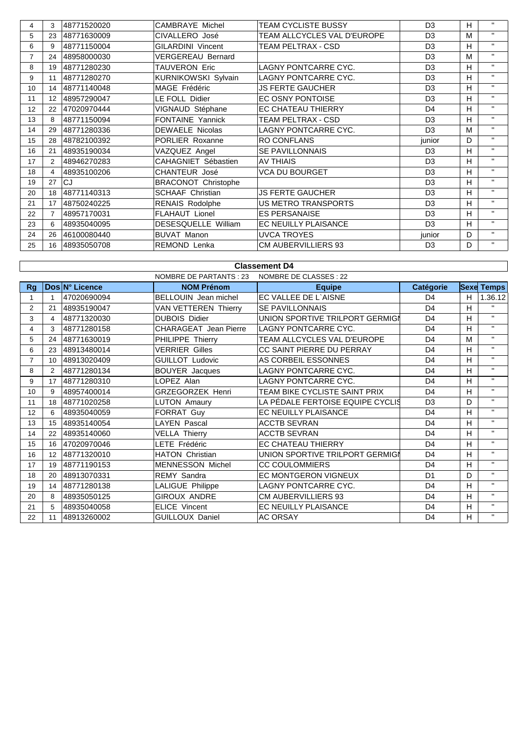| 4              | 3                    | 48771520020 | CAMBRAYE Michel            | <b>TEAM CYCLISTE BUSSY</b>  | D <sub>3</sub> | H. | $\mathbf{H}$ |
|----------------|----------------------|-------------|----------------------------|-----------------------------|----------------|----|--------------|
| 5              | 23                   | 48771630009 | CIVALLERO José             | TEAM ALLCYCLES VAL D'EUROPE | D <sub>3</sub> | M  | $\mathbf{H}$ |
| 6              | 9                    | 48771150004 | <b>GILARDINI Vincent</b>   | TEAM PELTRAX - CSD          | D <sub>3</sub> | H. | $\mathbf{H}$ |
| $\overline{7}$ | 24                   | 48958000030 | <b>VERGEREAU Bernard</b>   |                             | D <sub>3</sub> | M  | $\mathbf{H}$ |
| 8              | 19                   | 48771280230 | TAUVERON Eric              | LAGNY PONTCARRE CYC.        | D <sub>3</sub> | H. | $\mathbf{H}$ |
| 9              | 11                   | 48771280270 | <b>KURNIKOWSKI Sylvain</b> | <b>LAGNY PONTCARRE CYC.</b> | D <sub>3</sub> | H  | $\mathbf{H}$ |
| 10             | 14                   | 48771140048 | MAGE Frédéric              | <b>JS FERTE GAUCHER</b>     | D <sub>3</sub> | H. | $\mathbf{H}$ |
| 11             | 12                   | 48957290047 | LE FOLL Didier             | EC OSNY PONTOISE            | D <sub>3</sub> | H. | $\mathbf{H}$ |
| 12             | 22                   | 47020970444 | VIGNAUD Stéphane           | EC CHATEAU THIERRY          | D <sub>4</sub> | H  | $\mathbf{H}$ |
| 13             | 8                    | 48771150094 | FONTAINE Yannick           | TEAM PELTRAX - CSD          | D <sub>3</sub> | H. | $\mathbf{H}$ |
| 14             | 29                   | 48771280336 | DEWAELE Nicolas            | LAGNY PONTCARRE CYC.        | D <sub>3</sub> | м  | $\mathbf{H}$ |
| 15             | 28                   | 48782100392 | PORLIER Roxanne            | <b>RO CONFLANS</b>          | junior         | D. | $\mathbf{H}$ |
| 16             | 21                   | 48935190034 | VAZQUEZ Angel              | <b>SE PAVILLONNAIS</b>      | D <sub>3</sub> | H. | $\mathbf{H}$ |
| 17             | $\mathbf{2}^{\circ}$ | 48946270283 | CAHAGNIET Sébastien        | <b>AV THIAIS</b>            | D <sub>3</sub> | H. | $\mathbf{H}$ |
| 18             | $\overline{4}$       | 48935100206 | <b>CHANTEUR José</b>       | <b>VCA DU BOURGET</b>       | D <sub>3</sub> | H  | $\mathbf{H}$ |
| 19             | 27                   | CJ          | <b>BRACONOT Christophe</b> |                             | D <sub>3</sub> | H. | $\mathbf{H}$ |
| 20             | 18                   | 48771140313 | <b>SCHAAF Christian</b>    | <b>JS FERTE GAUCHER</b>     | D <sub>3</sub> | H. | $\mathbf{H}$ |
| 21             | 17                   | 48750240225 | <b>RENAIS Rodolphe</b>     | US METRO TRANSPORTS         | D <sub>3</sub> | H. | $\mathbf{H}$ |
| 22             | $\overline{7}$       | 48957170031 | FLAHAUT Lionel             | <b>ES PERSANAISE</b>        | D <sub>3</sub> | H. | $\mathbf{H}$ |
| 23             | 6                    | 48935040095 | <b>DESESQUELLE William</b> | <b>EC NEUILLY PLAISANCE</b> | D <sub>3</sub> | H. | $\mathbf{H}$ |
| 24             | 26                   | 46100080440 | <b>BUVAT Manon</b>         | <b>UVCA TROYES</b>          | junior         | D  | $\mathbf{H}$ |
| 25             | 16                   | 48935050708 | <b>REMOND Lenka</b>        | <b>CM AUBERVILLIERS 93</b>  | D <sub>3</sub> | D. | $\mathbf{H}$ |

#### NOMBRE DE PARTANTS : 23 NOMBRE DE CLASSES : 22 **Rg Dos N° Licence NOM Prénom Equipe Catégorie Sexe Temps** 1 | 1 47020690094 BELLOUIN Jean michel | EC VALLEE DE L`AISNE | D4 | H | 1.36.12 2 21 48935190047 VAN VETTEREN Thierry SE PAVILLONNAIS National State of the Magnus of the Magnus Separation of the Magnus Separation of the Magnus Separation of the Magnus Separation of the Magnus Separation of the Magnus 3 4 48771320030 DUBOIS Didier UNION SPORTIVE TRILPORT GERMIGN D4 H | " 4 3 48771280158 CHARAGEAT Jean Pierre LAGNY PONTCARRE CYC. D4 H <sup>"</sup> 5 24 48771630019 PHILIPPE Thierry TEAM ALLCYCLES VAL D'EUROPE D4 M '' 6 23 48913480014 VERRIER Gilles CC SAINT PIERRE DU PERRAY D4 H '' 7 10 48913020409 GUILLOT Ludovic AS CORBEIL ESSONNES D4 H '' 8 2 48771280134 BOUYER Jacques LAGNY PONTCARRE CYC. D4 H '' 9 17 48771280310 LOPEZ Alan LAGNY PONTCARRE CYC. D4 H '' 10 9 48957400014 GRZEGORZEK Henri TEAM BIKE CYCLISTE SAINT PRIX D4 H '' 11 18 48771020258 LUTON Amaury LA PÉDALE FERTOISE EQUIPE CYCLIS D3 D " 12 6 48935040059 FORRAT Guy EC NEUILLY PLAISANCE D4 H " 13 | 15 |48935140054 | LAYEN Pascal | ACCTB SEVRAN | D4 | H | " 14 22 48935140060 VELLA Thierry ACCTB SEVRAN D4 H '' 15 16 47020970046 LETE Frédéric EC CHATEAU THIERRY D4 H '' 16 12 48771320010 HATON Christian UNION SPORTIVE TRILPORT GERMIGN D4 H "<br>17 19 48771190153 MENNESSON Michol CC COLU OMNIERS 17 | 19 | 48771190153 MENNESSON Michel CC COULOMMIERS | D4 H 18 20 48913070331 REMY Sandra EC MONTGERON VIGNEUX D1 D "<br>19 14 48771280138 LALIGUE Philippe LAGNY PONTCARRE CYC D4 H " 19 | 14 | 48771280138 | LALIGUE Philippe | LAGNY PONTCARRE CYC. | D4 | H 20 8 48935050125 GIROUX ANDRE CM AUBERVILLIERS 93 D4 H '' 21 | 5 |48935040058 | ELICE Vincent | EC NEUILLY PLAISANCE | D4 | H | " 22 11 48913260002 GUILLOUX Daniel AC ORSAY D4 H " **Classement D4**